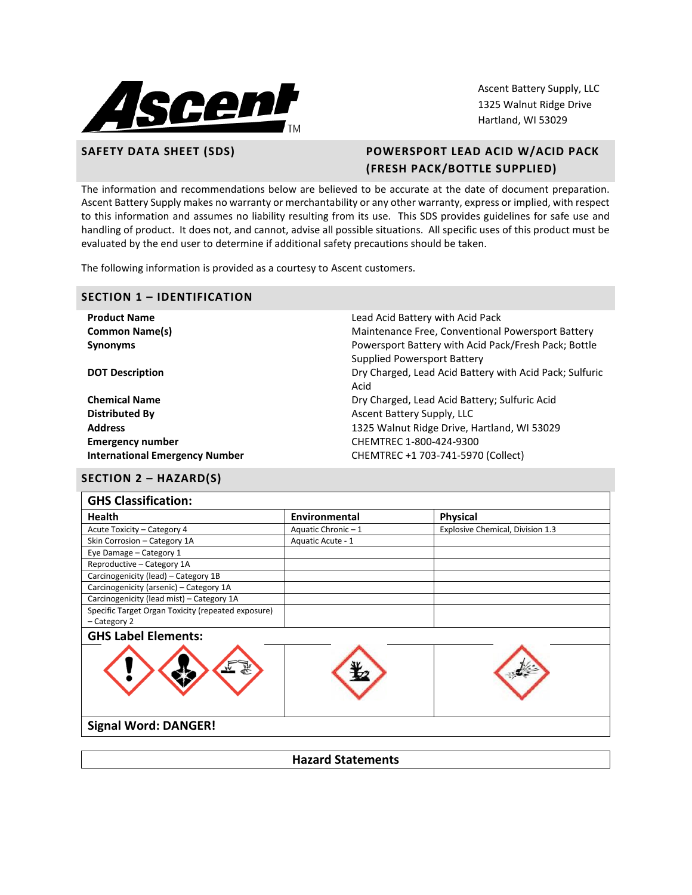

Ascent Battery Supply, LLC 1325 Walnut Ridge Drive Hartland, WI 53029

# **SAFETY DATA SHEET (SDS) POWERSPORT LEAD ACID W/ACID PACK (FRESH PACK/BOTTLE SUPPLIED)**

The information and recommendations below are believed to be accurate at the date of document preparation. Ascent Battery Supply makes no warranty or merchantability or any other warranty, express or implied, with respect to this information and assumes no liability resulting from its use. This SDS provides guidelines for safe use and handling of product. It does not, and cannot, advise all possible situations. All specific uses of this product must be evaluated by the end user to determine if additional safety precautions should be taken.

The following information is provided as a courtesy to Ascent customers.

## **SECTION 1 – IDENTIFICATION**

| <b>Product Name</b>                   | Lead Acid Battery with Acid Pack                        |
|---------------------------------------|---------------------------------------------------------|
| <b>Common Name(s)</b>                 | Maintenance Free, Conventional Powersport Battery       |
| <b>Synonyms</b>                       | Powersport Battery with Acid Pack/Fresh Pack; Bottle    |
|                                       | Supplied Powersport Battery                             |
| <b>DOT Description</b>                | Dry Charged, Lead Acid Battery with Acid Pack; Sulfuric |
|                                       | Acid                                                    |
| <b>Chemical Name</b>                  | Dry Charged, Lead Acid Battery; Sulfuric Acid           |
| Distributed By                        | Ascent Battery Supply, LLC                              |
| <b>Address</b>                        | 1325 Walnut Ridge Drive, Hartland, WI 53029             |
| <b>Emergency number</b>               | CHEMTREC 1-800-424-9300                                 |
| <b>International Emergency Number</b> | CHEMTREC +1 703-741-5970 (Collect)                      |

# **SECTION 2 – HAZARD(S)**

| <b>Health</b>                                      | Environmental     | <b>Physical</b>                  |
|----------------------------------------------------|-------------------|----------------------------------|
| Acute Toxicity - Category 4                        | Aquatic Chronic-1 | Explosive Chemical, Division 1.3 |
| Skin Corrosion - Category 1A                       | Aquatic Acute - 1 |                                  |
| Eye Damage - Category 1                            |                   |                                  |
| Reproductive - Category 1A                         |                   |                                  |
| Carcinogenicity (lead) - Category 1B               |                   |                                  |
| Carcinogenicity (arsenic) - Category 1A            |                   |                                  |
| Carcinogenicity (lead mist) - Category 1A          |                   |                                  |
| Specific Target Organ Toxicity (repeated exposure) |                   |                                  |
| - Category 2                                       |                   |                                  |
| <b>GHS Label Elements:</b>                         |                   |                                  |
|                                                    |                   |                                  |

## **Signal Word: DANGER!**

**Hazard Statements**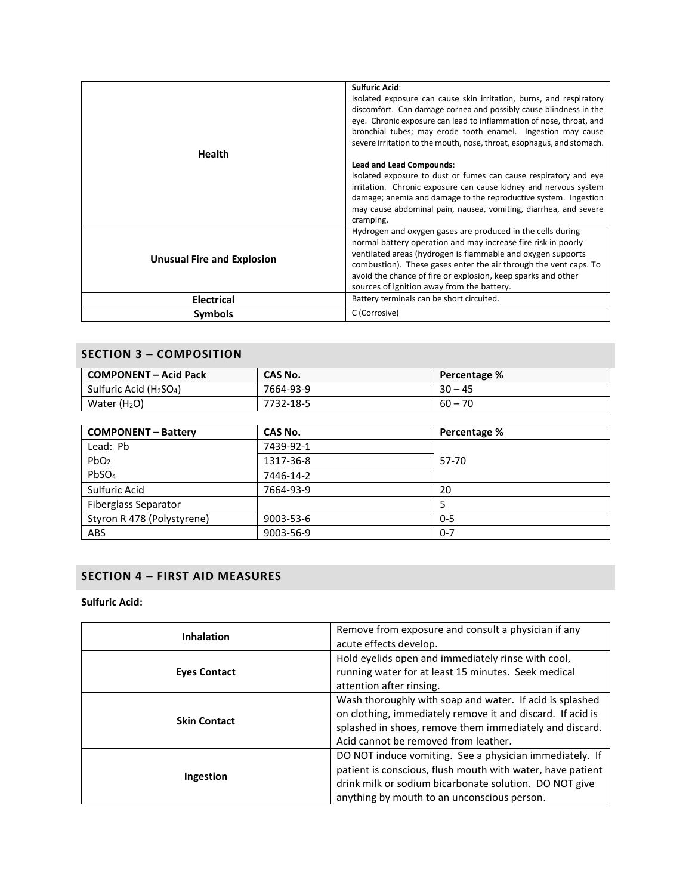| Health                            | <b>Sulfuric Acid:</b><br>Isolated exposure can cause skin irritation, burns, and respiratory<br>discomfort. Can damage cornea and possibly cause blindness in the<br>eye. Chronic exposure can lead to inflammation of nose, throat, and<br>bronchial tubes; may erode tooth enamel. Ingestion may cause<br>severe irritation to the mouth, nose, throat, esophagus, and stomach.<br>Lead and Lead Compounds: |  |  |
|-----------------------------------|---------------------------------------------------------------------------------------------------------------------------------------------------------------------------------------------------------------------------------------------------------------------------------------------------------------------------------------------------------------------------------------------------------------|--|--|
|                                   | Isolated exposure to dust or fumes can cause respiratory and eye<br>irritation. Chronic exposure can cause kidney and nervous system<br>damage; anemia and damage to the reproductive system. Ingestion<br>may cause abdominal pain, nausea, vomiting, diarrhea, and severe<br>cramping.                                                                                                                      |  |  |
| <b>Unusual Fire and Explosion</b> | Hydrogen and oxygen gases are produced in the cells during<br>normal battery operation and may increase fire risk in poorly<br>ventilated areas (hydrogen is flammable and oxygen supports<br>combustion). These gases enter the air through the vent caps. To<br>avoid the chance of fire or explosion, keep sparks and other<br>sources of ignition away from the battery.                                  |  |  |
| <b>Electrical</b>                 | Battery terminals can be short circuited.                                                                                                                                                                                                                                                                                                                                                                     |  |  |
| Symbols                           | C (Corrosive)                                                                                                                                                                                                                                                                                                                                                                                                 |  |  |

# **SECTION 3 – COMPOSITION**

| <b>COMPONENT - Acid Pack</b> | CAS No.   | <b>Percentage %</b> |  |
|------------------------------|-----------|---------------------|--|
| Sulfuric Acid ( $H_2SO_4$ )  | 7664-93-9 | $30 - 45$           |  |
| Water $(H2O)$                | 7732-18-5 | $60 - 70$           |  |

| <b>COMPONENT - Battery</b>  | CAS No.   | Percentage % |  |
|-----------------------------|-----------|--------------|--|
| Lead: Pb                    | 7439-92-1 |              |  |
| PbO <sub>2</sub>            | 1317-36-8 | 57-70        |  |
| PbSO <sub>4</sub>           | 7446-14-2 |              |  |
| Sulfuric Acid               | 7664-93-9 | 20           |  |
| <b>Fiberglass Separator</b> |           |              |  |
| Styron R 478 (Polystyrene)  | 9003-53-6 | $0 - 5$      |  |
| ABS                         | 9003-56-9 | $0 - 7$      |  |

# **SECTION 4 – FIRST AID MEASURES**

## **Sulfuric Acid:**

| Remove from exposure and consult a physician if any<br><b>Inhalation</b><br>acute effects develop. |                                                                                                                                                                                                                                |
|----------------------------------------------------------------------------------------------------|--------------------------------------------------------------------------------------------------------------------------------------------------------------------------------------------------------------------------------|
| <b>Eyes Contact</b>                                                                                | Hold eyelids open and immediately rinse with cool,<br>running water for at least 15 minutes. Seek medical<br>attention after rinsing.                                                                                          |
| <b>Skin Contact</b>                                                                                | Wash thoroughly with soap and water. If acid is splashed<br>on clothing, immediately remove it and discard. If acid is<br>splashed in shoes, remove them immediately and discard.<br>Acid cannot be removed from leather.      |
| Ingestion                                                                                          | DO NOT induce vomiting. See a physician immediately. If<br>patient is conscious, flush mouth with water, have patient<br>drink milk or sodium bicarbonate solution. DO NOT give<br>anything by mouth to an unconscious person. |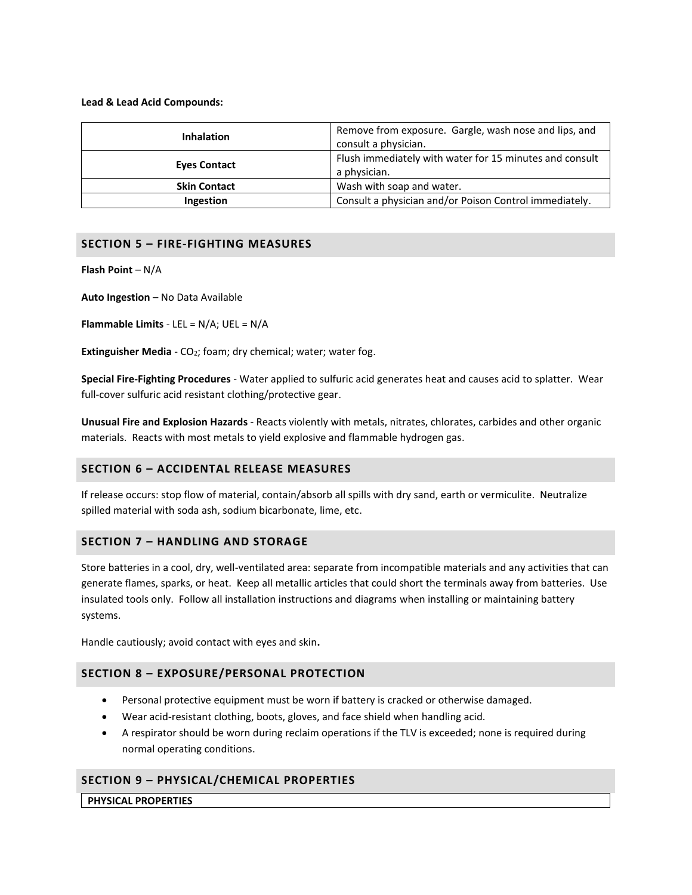#### **Lead & Lead Acid Compounds:**

| <b>Inhalation</b>   | Remove from exposure. Gargle, wash nose and lips, and<br>consult a physician. |  |  |
|---------------------|-------------------------------------------------------------------------------|--|--|
| <b>Eyes Contact</b> | Flush immediately with water for 15 minutes and consult<br>a physician.       |  |  |
| <b>Skin Contact</b> | Wash with soap and water.                                                     |  |  |
| <b>Ingestion</b>    | Consult a physician and/or Poison Control immediately.                        |  |  |

## **SECTION 5 – FIRE-FIGHTING MEASURES**

**Flash Point** – N/A

**Auto Ingestion** – No Data Available

**Flammable Limits** - LEL = N/A; UEL = N/A

**Extinguisher Media** - CO<sub>2</sub>; foam; dry chemical; water; water fog.

**Special Fire-Fighting Procedures** - Water applied to sulfuric acid generates heat and causes acid to splatter. Wear full-cover sulfuric acid resistant clothing/protective gear.

**Unusual Fire and Explosion Hazards** - Reacts violently with metals, nitrates, chlorates, carbides and other organic materials. Reacts with most metals to yield explosive and flammable hydrogen gas.

## **SECTION 6 – ACCIDENTAL RELEASE MEASURES**

If release occurs: stop flow of material, contain/absorb all spills with dry sand, earth or vermiculite. Neutralize spilled material with soda ash, sodium bicarbonate, lime, etc.

## **SECTION 7 – HANDLING AND STORAGE**

Store batteries in a cool, dry, well-ventilated area: separate from incompatible materials and any activities that can generate flames, sparks, or heat. Keep all metallic articles that could short the terminals away from batteries. Use insulated tools only. Follow all installation instructions and diagrams when installing or maintaining battery systems.

Handle cautiously; avoid contact with eyes and skin**.**

## **SECTION 8 – EXPOSURE/PERSONAL PROTECTION**

- Personal protective equipment must be worn if battery is cracked or otherwise damaged.
- Wear acid-resistant clothing, boots, gloves, and face shield when handling acid.
- A respirator should be worn during reclaim operations if the TLV is exceeded; none is required during normal operating conditions.

# **SECTION 9 – PHYSICAL/CHEMICAL PROPERTIES**

**PHYSICAL PROPERTIES**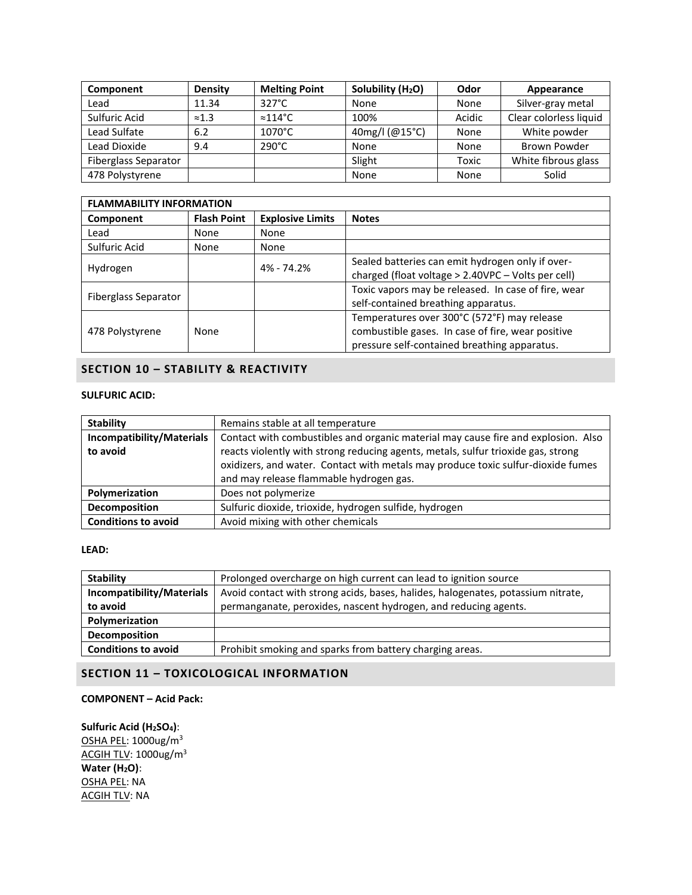| Component                   | <b>Density</b> | <b>Melting Point</b> | Solubility (H <sub>2</sub> O) | Odor   | Appearance             |
|-----------------------------|----------------|----------------------|-------------------------------|--------|------------------------|
| Lead                        | 11.34          | $327^{\circ}$ C      | None                          | None   | Silver-gray metal      |
| Sulfuric Acid               | $\approx 1.3$  | $\approx$ 114°C      | 100%                          | Acidic | Clear colorless liquid |
| Lead Sulfate                | 6.2            | $1070^{\circ}$ C     | 40mg/l (@15°C)                | None   | White powder           |
| Lead Dioxide                | 9.4            | $290^{\circ}$ C      | None                          | None   | Brown Powder           |
| <b>Fiberglass Separator</b> |                |                      | Slight                        | Toxic  | White fibrous glass    |
| 478 Polystyrene             |                |                      | None                          | None   | Solid                  |

| <b>FLAMMABILITY INFORMATION</b> |                    |                         |                                                                                                                                                  |  |
|---------------------------------|--------------------|-------------------------|--------------------------------------------------------------------------------------------------------------------------------------------------|--|
| Component                       | <b>Flash Point</b> | <b>Explosive Limits</b> | <b>Notes</b>                                                                                                                                     |  |
| Lead                            | None               | None                    |                                                                                                                                                  |  |
| Sulfuric Acid                   | None               | None                    |                                                                                                                                                  |  |
| Hydrogen                        |                    | 4% - 74.2%              | Sealed batteries can emit hydrogen only if over-<br>charged (float voltage > 2.40VPC - Volts per cell)                                           |  |
| Fiberglass Separator            |                    |                         | Toxic vapors may be released. In case of fire, wear<br>self-contained breathing apparatus.                                                       |  |
| 478 Polystyrene                 | None               |                         | Temperatures over 300°C (572°F) may release<br>combustible gases. In case of fire, wear positive<br>pressure self-contained breathing apparatus. |  |

# **SECTION 10 – STABILITY & REACTIVITY**

# **SULFURIC ACID:**

| <b>Stability</b>           | Remains stable at all temperature                                                 |  |
|----------------------------|-----------------------------------------------------------------------------------|--|
| Incompatibility/Materials  | Contact with combustibles and organic material may cause fire and explosion. Also |  |
| to avoid                   | reacts violently with strong reducing agents, metals, sulfur trioxide gas, strong |  |
|                            | oxidizers, and water. Contact with metals may produce toxic sulfur-dioxide fumes  |  |
|                            | and may release flammable hydrogen gas.                                           |  |
| Polymerization             | Does not polymerize                                                               |  |
| Decomposition              | Sulfuric dioxide, trioxide, hydrogen sulfide, hydrogen                            |  |
| <b>Conditions to avoid</b> | Avoid mixing with other chemicals                                                 |  |

## **LEAD:**

| <b>Stability</b>           | Prolonged overcharge on high current can lead to ignition source                 |
|----------------------------|----------------------------------------------------------------------------------|
| Incompatibility/Materials  | Avoid contact with strong acids, bases, halides, halogenates, potassium nitrate, |
| to avoid                   | permanganate, peroxides, nascent hydrogen, and reducing agents.                  |
| Polymerization             |                                                                                  |
| <b>Decomposition</b>       |                                                                                  |
| <b>Conditions to avoid</b> | Prohibit smoking and sparks from battery charging areas.                         |

# **SECTION 11 – TOXICOLOGICAL INFORMATION**

## **COMPONENT – Acid Pack:**

**Sulfuric Acid (H2SO4)**: OSHA PEL: 1000ug/m<sup>3</sup> ACGIH TLV: 1000ug/m<sup>3</sup> **Water (H2O)**: OSHA PEL: NA ACGIH TLV: NA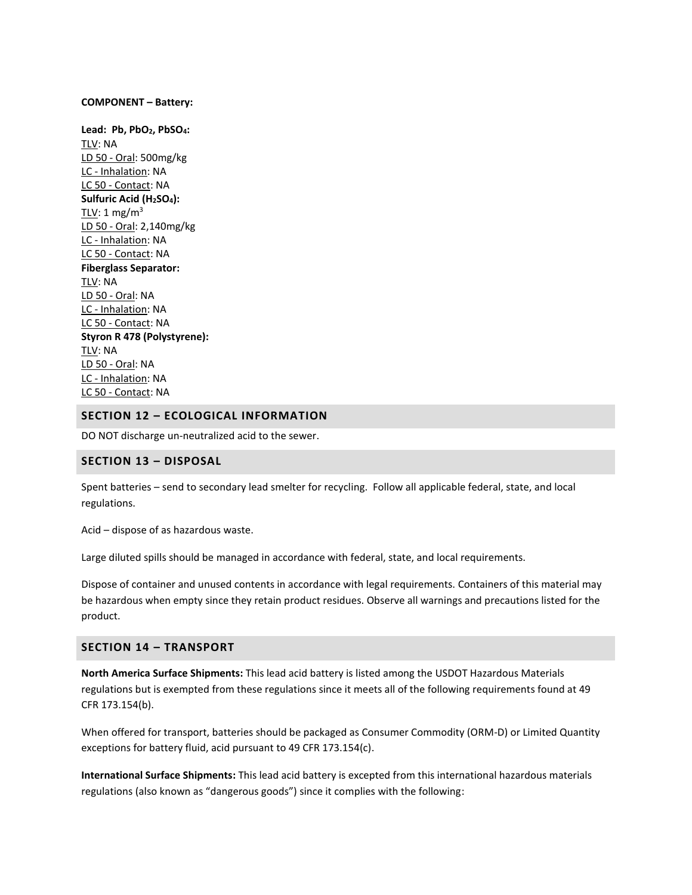#### **COMPONENT – Battery:**

**Lead: Pb, PbO2, PbSO4:** TLV: NA LD 50 - Oral: 500mg/kg LC - Inhalation: NA LC 50 - Contact: NA **Sulfuric Acid (H2SO4):**  $TLV: 1 mg/m<sup>3</sup>$ LD 50 - Oral: 2,140mg/kg LC - Inhalation: NA LC 50 - Contact: NA **Fiberglass Separator:** TLV: NA LD 50 - Oral: NA LC - Inhalation: NA LC 50 - Contact: NA **Styron R 478 (Polystyrene):** TLV: NA LD 50 - Oral: NA LC - Inhalation: NA LC 50 - Contact: NA

## **SECTION 12 – ECOLOGICAL INFORMATION**

DO NOT discharge un-neutralized acid to the sewer.

#### **SECTION 13 – DISPOSAL**

Spent batteries – send to secondary lead smelter for recycling. Follow all applicable federal, state, and local regulations.

Acid – dispose of as hazardous waste.

Large diluted spills should be managed in accordance with federal, state, and local requirements.

Dispose of container and unused contents in accordance with legal requirements. Containers of this material may be hazardous when empty since they retain product residues. Observe all warnings and precautions listed for the product.

## **SECTION 14 – TRANSPORT**

**North America Surface Shipments:** This lead acid battery is listed among the USDOT Hazardous Materials regulations but is exempted from these regulations since it meets all of the following requirements found at 49 CFR 173.154(b).

When offered for transport, batteries should be packaged as Consumer Commodity (ORM-D) or Limited Quantity exceptions for battery fluid, acid pursuant to 49 CFR 173.154(c).

**International Surface Shipments:** This lead acid battery is excepted from this international hazardous materials regulations (also known as "dangerous goods") since it complies with the following: